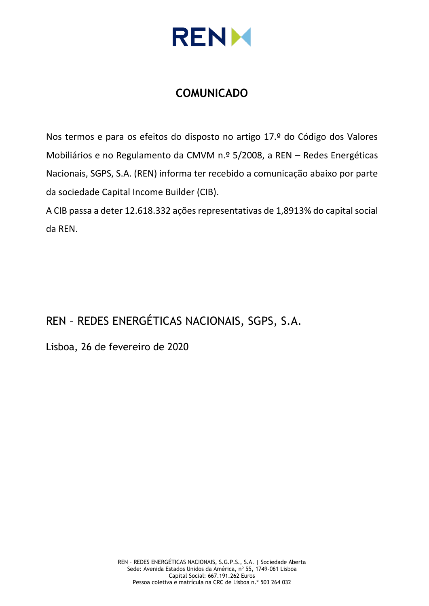

# **COMUNICADO**

Nos termos e para os efeitos do disposto no artigo 17.º do Código dos Valores Mobiliários e no Regulamento da CMVM n.º 5/2008, a REN – Redes Energéticas Nacionais, SGPS, S.A. (REN) informa ter recebido a comunicação abaixo por parte da sociedade Capital Income Builder (CIB).

A CIB passa a deter 12.618.332 ações representativas de 1,8913% do capital social da REN.

# REN – REDES ENERGÉTICAS NACIONAIS, SGPS, S.A.

Lisboa, 26 de fevereiro de 2020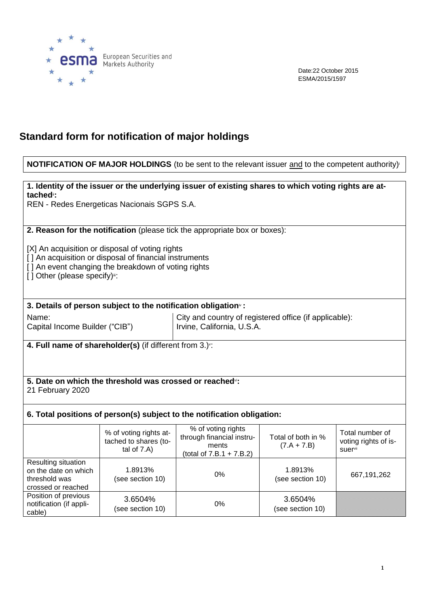

Date:22 October 2015 ESMA/2015/1597

# **Standard form for notification of major holdings**

#### **NOTIFICATION OF MAJOR HOLDINGS** (to be sent to the relevant issuer and to the competent authority)<sup>i</sup>

**1. Identity of the issuer or the underlying issuer of existing shares to which voting rights are attached**ii**:**

REN - Redes Energeticas Nacionais SGPS S.A.

**2. Reason for the notification** (please tick the appropriate box or boxes):

[X] An acquisition or disposal of voting rights

[] An acquisition or disposal of financial instruments

[] An event changing the breakdown of voting rights

[] Other (please specify)":

**3. Details of person subject to the notification obligation**iv **:**

Name:

Capital Income Builder ("CIB")

City and country of registered office (if applicable): Irvine, California, U.S.A.

**4. Full name of shareholder(s)** (if different from 3.)<sup>v</sup> :

#### **5. Date on which the threshold was crossed or reached**vi**:** 21 February 2020

### **6. Total positions of person(s) subject to the notification obligation:**

|                                                                                    | % of voting rights at-<br>tached to shares (to-<br>tal of $7.A$ ) | % of voting rights<br>through financial instru-<br>ments<br>(total of $7.B.1 + 7.B.2$ ) | Total of both in %<br>$(7.A + 7.B)$ | Total number of<br>voting rights of is-<br>suer <sup>vii</sup> |
|------------------------------------------------------------------------------------|-------------------------------------------------------------------|-----------------------------------------------------------------------------------------|-------------------------------------|----------------------------------------------------------------|
| Resulting situation<br>on the date on which<br>threshold was<br>crossed or reached | 1.8913%<br>(see section 10)                                       | $0\%$                                                                                   | 1.8913%<br>(see section 10)         | 667,191,262                                                    |
| Position of previous<br>notification (if appli-<br>cable)                          | 3.6504%<br>(see section 10)                                       | $0\%$                                                                                   | 3.6504%<br>(see section 10)         |                                                                |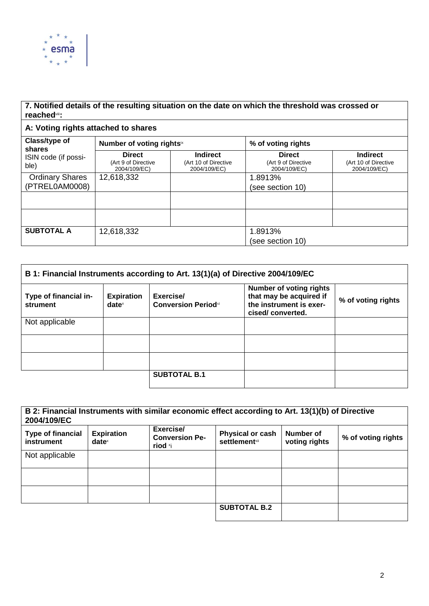

### **7. Notified details of the resulting situation on the date on which the threshold was crossed or reached**viii**:**

## **A: Voting rights attached to shares**

| Class/type of<br>shares      | Number of voting rightsix                            |                                                         | % of voting rights                                   |                                                         |
|------------------------------|------------------------------------------------------|---------------------------------------------------------|------------------------------------------------------|---------------------------------------------------------|
| ISIN code (if possi-<br>ble) | <b>Direct</b><br>(Art 9 of Directive<br>2004/109/EC) | <b>Indirect</b><br>(Art 10 of Directive<br>2004/109/EC) | <b>Direct</b><br>(Art 9 of Directive<br>2004/109/EC) | <b>Indirect</b><br>(Art 10 of Directive<br>2004/109/EC) |
| <b>Ordinary Shares</b>       | 12,618,332                                           |                                                         | 1.8913%                                              |                                                         |
| (PTREL0AM0008)               |                                                      |                                                         | (see section 10)                                     |                                                         |
|                              |                                                      |                                                         |                                                      |                                                         |
|                              |                                                      |                                                         |                                                      |                                                         |
| <b>SUBTOTAL A</b>            | 12,618,332                                           |                                                         | 1.8913%                                              |                                                         |
|                              |                                                      |                                                         | (see section 10)                                     |                                                         |

| B 1: Financial Instruments according to Art. 13(1)(a) of Directive 2004/109/EC |                               |                                         |                                                                                                          |                    |
|--------------------------------------------------------------------------------|-------------------------------|-----------------------------------------|----------------------------------------------------------------------------------------------------------|--------------------|
| Type of financial in-<br>strument                                              | <b>Expiration</b><br>$date^x$ | Exercise/<br><b>Conversion Periodxi</b> | <b>Number of voting rights</b><br>that may be acquired if<br>the instrument is exer-<br>cised/converted. | % of voting rights |
| Not applicable                                                                 |                               |                                         |                                                                                                          |                    |
|                                                                                |                               |                                         |                                                                                                          |                    |
|                                                                                |                               |                                         |                                                                                                          |                    |
|                                                                                |                               | <b>SUBTOTAL B.1</b>                     |                                                                                                          |                    |

| B 2: Financial Instruments with similar economic effect according to Art. 13(1)(b) of Directive<br>2004/109/EC |                               |                                               |                                                  |                            |                    |
|----------------------------------------------------------------------------------------------------------------|-------------------------------|-----------------------------------------------|--------------------------------------------------|----------------------------|--------------------|
| <b>Type of financial</b><br>instrument                                                                         | <b>Expiration</b><br>$date^x$ | Exercise/<br><b>Conversion Pe-</b><br>riod ×i | <b>Physical or cash</b><br><b>settlement</b> xii | Number of<br>voting rights | % of voting rights |
| Not applicable                                                                                                 |                               |                                               |                                                  |                            |                    |
|                                                                                                                |                               |                                               |                                                  |                            |                    |
|                                                                                                                |                               |                                               |                                                  |                            |                    |
|                                                                                                                |                               |                                               | <b>SUBTOTAL B.2</b>                              |                            |                    |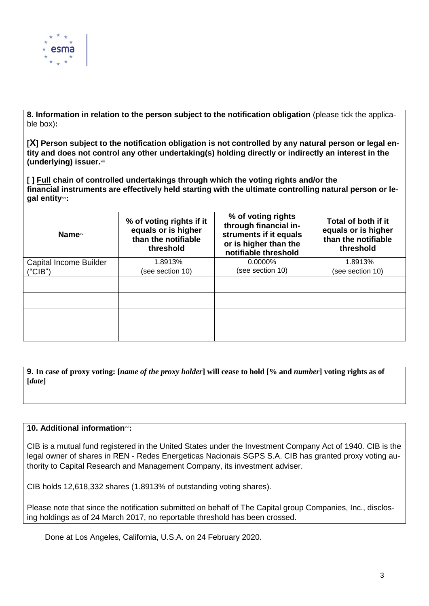

**8. Information in relation to the person subject to the notification obligation** (please tick the applicable box)**:**

**[X] Person subject to the notification obligation is not controlled by any natural person or legal entity and does not control any other undertaking(s) holding directly or indirectly an interest in the (underlying) issuer.**xiii

**[ ] Full chain of controlled undertakings through which the voting rights and/or the financial instruments are effectively held starting with the ultimate controlling natural person or legal entity**xiv**:**

| Name <sup>xv</sup>            | % of voting rights if it<br>equals or is higher<br>than the notifiable<br>threshold | % of voting rights<br>through financial in-<br>struments if it equals<br>or is higher than the<br>notifiable threshold | Total of both if it<br>equals or is higher<br>than the notifiable<br>threshold |
|-------------------------------|-------------------------------------------------------------------------------------|------------------------------------------------------------------------------------------------------------------------|--------------------------------------------------------------------------------|
| <b>Capital Income Builder</b> | 1.8913%                                                                             | $0.0000\%$                                                                                                             | 1.8913%                                                                        |
| ("CIB")                       | (see section 10)                                                                    | (see section 10)                                                                                                       | (see section 10)                                                               |
|                               |                                                                                     |                                                                                                                        |                                                                                |
|                               |                                                                                     |                                                                                                                        |                                                                                |
|                               |                                                                                     |                                                                                                                        |                                                                                |
|                               |                                                                                     |                                                                                                                        |                                                                                |

**9. In case of proxy voting: [***name of the proxy holder***] will cease to hold [% and** *number***] voting rights as of [***date***]**

#### 10. Additional information<sup>xvi</sup>:

CIB is a mutual fund registered in the United States under the Investment Company Act of 1940. CIB is the legal owner of shares in REN - Redes Energeticas Nacionais SGPS S.A. CIB has granted proxy voting authority to Capital Research and Management Company, its investment adviser.

CIB holds 12,618,332 shares (1.8913% of outstanding voting shares).

Please note that since the notification submitted on behalf of The Capital group Companies, Inc., disclosing holdings as of 24 March 2017, no reportable threshold has been crossed.

Done at Los Angeles, California, U.S.A. on 24 February 2020.